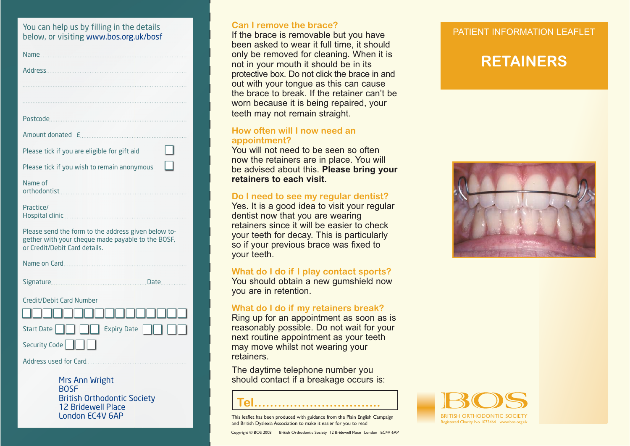# You can help us by filling in the details **by can limit of the brace?**<br>below, or visiting www.bos.org.uk/bosf **but in the brace is removable but you have but you have but you have but you have**

| Name                                                                                                                                      |
|-------------------------------------------------------------------------------------------------------------------------------------------|
|                                                                                                                                           |
|                                                                                                                                           |
|                                                                                                                                           |
|                                                                                                                                           |
| Amount donated £                                                                                                                          |
| Please tick if you are eligible for gift aid                                                                                              |
| Please tick if you wish to remain anonymous                                                                                               |
| Name of                                                                                                                                   |
| Practice/                                                                                                                                 |
| Please send the form to the address given below to-<br>gether with your cheque made payable to the BOSF,<br>or Credit/Debit Card details. |
|                                                                                                                                           |
|                                                                                                                                           |
| Credit/Debit Card Number                                                                                                                  |
|                                                                                                                                           |
| <b>Expiry Date</b><br><b>Start Date</b>                                                                                                   |
| Security Code                                                                                                                             |
|                                                                                                                                           |

Mrs Ann Wright BOSFBritish Orthodontic Society 12 Bridewell Place London EC4V 6AP

### **Can I remove the brace?**

been asked to wear it full time, it should only be removed for cleaning. When it is not in your mouth it should be in its protective box. Do not click the brace in and out with your tongue as this can cause the brace to break. If the retainer can't be worn because it is being repaired, your teeth may not remain straight.

### **How often will I now need an appointment?**

You will not need to be seen so often now the retainers are in place. You will be advised about this. **Please bring your retainers to each visit.**

### **Do I need to see my regular dentist?**

Yes. It is a good idea to visit your regular dentist now that you are wearing retainers since it will be easier to check your teeth for decay. This is particularly so if your previous brace was fixed to your teeth.

#### **What do I do if I play contact sports?**

You should obtain a new gumshield now you are in retention.

### **What do I do if my retainers break?**

Ring up for an appointment as soon as is reasonably possible. Do not wait for your next routine appointment as your teeth may move whilst not wearing your retainers.

The daytime telephone number you should contact if a breakage occurs is:

## **Tel…………………………..**

This leaflet has been produced with guidance from the Plain English Campaign and British Dyslexia Association to make it easier for you to read

Copyright © BOS 2008 British Orthodontic Society 12 Bridewell Place London EC4V 6AP

### PATIFNT INFORMATION LEAFLET

## **RETAINERS**